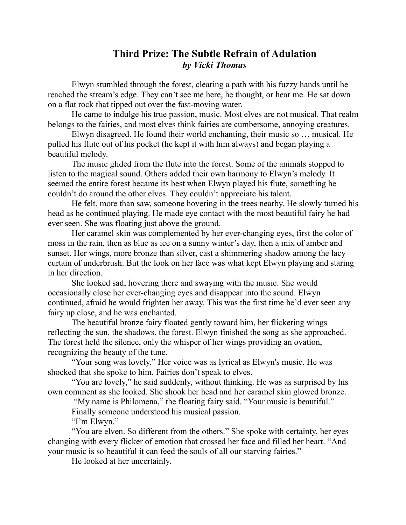## **Third Prize: The Subtle Refrain of Adulation** *by Vicki Thomas*

Elwyn stumbled through the forest, clearing a path with his fuzzy hands until he reached the stream's edge. They can't see me here, he thought, or hear me. He sat down on a flat rock that tipped out over the fast-moving water.

He came to indulge his true passion, music. Most elves are not musical. That realm belongs to the fairies, and most elves think fairies are cumbersome, annoying creatures.

Elwyn disagreed. He found their world enchanting, their music so … musical. He pulled his flute out of his pocket (he kept it with him always) and began playing a beautiful melody.

The music glided from the flute into the forest. Some of the animals stopped to listen to the magical sound. Others added their own harmony to Elwyn's melody. It seemed the entire forest became its best when Elwyn played his flute, something he couldn't do around the other elves. They couldn't appreciate his talent.

He felt, more than saw, someone hovering in the trees nearby. He slowly turned his head as he continued playing. He made eye contact with the most beautiful fairy he had ever seen. She was floating just above the ground.

Her caramel skin was complemented by her ever-changing eyes, first the color of moss in the rain, then as blue as ice on a sunny winter's day, then a mix of amber and sunset. Her wings, more bronze than silver, cast a shimmering shadow among the lacy curtain of underbrush. But the look on her face was what kept Elwyn playing and staring in her direction.

She looked sad, hovering there and swaying with the music. She would occasionally close her ever-changing eyes and disappear into the sound. Elwyn continued, afraid he would frighten her away. This was the first time he'd ever seen any fairy up close, and he was enchanted.

The beautiful bronze fairy floated gently toward him, her flickering wings reflecting the sun, the shadows, the forest. Elwyn finished the song as she approached. The forest held the silence, only the whisper of her wings providing an ovation, recognizing the beauty of the tune.

"Your song was lovely." Her voice was as lyrical as Elwyn's music. He was shocked that she spoke to him. Fairies don't speak to elves.

"You are lovely," he said suddenly, without thinking. He was as surprised by his own comment as she looked. She shook her head and her caramel skin glowed bronze.

"My name is Philomena," the floating fairy said. "Your music is beautiful."

Finally someone understood his musical passion.

"I'm Elwyn."

"You are elven. So different from the others." She spoke with certainty, her eyes changing with every flicker of emotion that crossed her face and filled her heart. "And your music is so beautiful it can feed the souls of all our starving fairies."

He looked at her uncertainly.